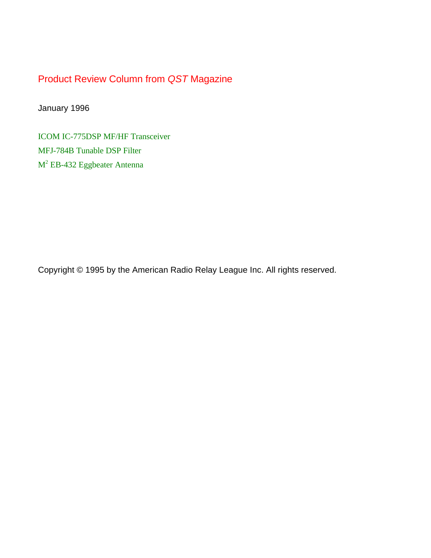Product Review Column from *QST* Magazine

January 1996

[ICOM IC-775DSP MF/HF Transceiver](#page-1-0) [MFJ-784B Tunable DSP Filter](#page-6-0)  $M^2$  [EB-432 Eggbeater Antenna](#page-8-0)

Copyright © 1995 by the American Radio Relay League Inc. All rights reserved.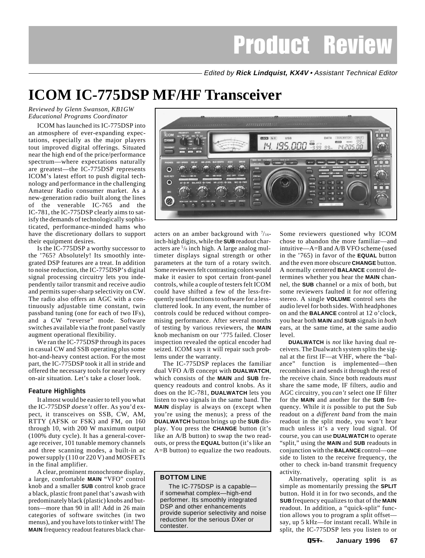Edited by **Rick Lindquist, KX4V** • Assistant Technical Editor

# <span id="page-1-0"></span>**ICOM IC-775DSP MF/HF Transceiver**

*Reviewed by Glenn Swanson, KB1GW Educational Programs Coordinator*

ICOM has launched its IC-775DSP into an atmosphere of ever-expanding expectations, especially as the major players tout improved digital offerings. Situated near the high end of the price/performance spectrum—where expectations naturally are greatest—the IC-775DSP represents ICOM's latest effort to push digital technology and performance in the challenging Amateur Radio consumer market. As a new-generation radio built along the lines of the venerable IC-765 and the IC-781, the IC-775DSP clearly aims to satisfy the demands of technologically sophisticated, performance-minded hams who have the discretionary dollars to support their equipment desires.

Is the IC-775DSP a worthy successor to the '765? Absolutely! Its smoothly integrated DSP features are a treat. In addition to noise reduction, the IC-775DSP's digital signal processing circuitry lets you independently tailor transmit and receive audio and permits super-sharp selectivity on CW. The radio also offers an AGC with a continuously adjustable time constant, twin passband tuning (one for each of two IFs), and a CW "reverse" mode. Software switches available via the front panel vastly augment operational flexibility.

We ran the IC-775DSP through its paces in casual CW and SSB operating plus some hot-and-heavy contest action. For the most part, the IC-775DSP took it all in stride and offered the necessary tools for nearly every on-air situation. Let's take a closer look.

### **Feature Highlights**

It almost would be easier to tell you what the IC-775DSP *doesn't* offer. As you'd expect, it transceives on SSB, CW, AM, RTTY (AFSK or FSK) and FM, on 160 through 10, with 200 W maximum output (100% duty cycle). It has a general-coverage receiver, 101 tunable memory channels and three scanning modes, a built-in ac power supply (110 or 220 V) and MOSFETs in the final amplifier.

A clear, prominent monochrome display, a large, comfortable **MAIN** "VFO" control knob and a smaller **SUB** control knob grace a black, plastic front panel that's awash with predominately black (plastic) knobs and buttons—more than 90 in all! Add in 26 main categories of software switches (in two menus), and you have lots to tinker with! The **MAIN** frequency readout features black char-



acters on an amber background with  $\frac{7}{16}$ inch-high digits, while the **SUB** readout characters are 5/8 inch high. A large analog multimeter displays signal strength or other parameters at the turn of a rotary switch. Some reviewers felt contrasting colors would make it easier to spot certain front-panel controls, while a couple of testers felt ICOM could have shifted a few of the less-frequently used functions to software for a lesscluttered look. In any event, the number of controls could be reduced without compromising performance. After several months of testing by various reviewers, the **MAIN** knob mechanism on our '775 failed. Closer inspection revealed the optical encoder had seized. ICOM says it will repair such problems under the warranty.

The IC-775DSP replaces the familiar dual VFO A/B concept with **DUALWATCH**, which consists of the **MAIN** and **SUB** frequency readouts and control knobs. As it does on the IC-781, **DUALWATCH** lets you listen to two signals in the same band. The **MAIN** display is always on (except when you're using the menus); a press of the **DUALWATCH** button brings up the **SUB** display. You press the **CHANGE** button (it's like an A/B button) to swap the two readouts, or press the **EQUAL** button (it's like an A=B button) to equalize the two readouts.

#### **BOTTOM LINE**

The IC-775DSP is a capable if somewhat complex—high-end performer. Its smoothly integrated DSP and other enhancements provide superior selectivity and noise reduction for the serious DXer or contester.

Some reviewers questioned why ICOM chose to abandon the more familiar—and intuitive—A=B and A/B VFO scheme (used in the '765) in favor of the **EQUAL** button and the even more obscure **CHANGE** button. A normally centered **BALANCE** control determines whether you hear the **MAIN** channel, the **SUB** channel or a mix of both, but some reviewers faulted it for *not* offering stereo. A single **VOLUME** control sets the audio level for both sides. With headphones on and the **BALANCE** control at 12 o'clock, you hear both **MAIN** and **SUB** signals in *both* ears, at the same time, at the same audio level.

**DUALWATCH** is *not* like having dual receivers. The Dualwatch system splits the signal at the first IF—at VHF, where the "balance" function is implemented—then recombines it and sends it through the rest of the receive chain. Since both readouts *must* share the same mode, IF filters, audio and AGC circuitry, you *can't* select one IF filter for the **MAIN** and another for the **SUB** frequency. While it *is* possible to put the Sub readout on a *different band* from the main readout in the split mode, you won't hear much unless it's a very loud signal. Of course, you can use **DUALWATCH** to operate "split," using the **MAIN** and **SUB** readouts in conjunction with the **BALANCE** control—one side to listen to the receive frequency, the other to check in-band transmit frequency activity.

Alternatively, operating split is as simple as momentarily pressing the **SPLIT** button. Hold it in for two seconds, and the **SUB** frequency equalizes to that of the **MAIN** readout. In addition, a "quick-split" function allows you to program a split offset say, up 5 kHz—for instant recall. While in split, the IC-775DSP lets you listen to or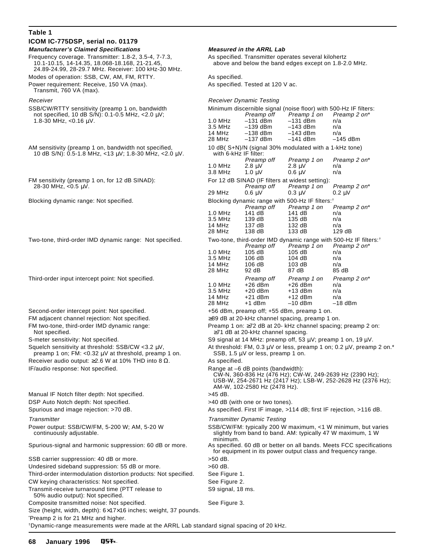| Table 1                                                                                                                                                                                                        |                                                                                                                                                        |                                                                                                                           |                                                                |                                                             |  |
|----------------------------------------------------------------------------------------------------------------------------------------------------------------------------------------------------------------|--------------------------------------------------------------------------------------------------------------------------------------------------------|---------------------------------------------------------------------------------------------------------------------------|----------------------------------------------------------------|-------------------------------------------------------------|--|
| ICOM IC-775DSP, serial no. 01179                                                                                                                                                                               |                                                                                                                                                        |                                                                                                                           |                                                                |                                                             |  |
| <b>Manufacturer's Claimed Specifications</b><br>Frequency coverage. Transmitter: 1.8-2, 3.5-4, 7-7.3,<br>10.1-10.15, 14-14.35, 18.068-18.168, 21-21.45,<br>24.89-24.99, 28-29.7 MHz. Receiver: 100 kHz-30 MHz. | <b>Measured in the ARRL Lab</b><br>As specified. Transmitter operates several kilohertz<br>above and below the band edges except on 1.8-2.0 MHz.       |                                                                                                                           |                                                                |                                                             |  |
| Modes of operation: SSB, CW, AM, FM, RTTY.                                                                                                                                                                     | As specified.                                                                                                                                          |                                                                                                                           |                                                                |                                                             |  |
| Power requirement: Receive, 150 VA (max).<br>Transmit, 760 VA (max).                                                                                                                                           | As specified. Tested at 120 V ac.                                                                                                                      |                                                                                                                           |                                                                |                                                             |  |
| Receiver                                                                                                                                                                                                       | <b>Receiver Dynamic Testing</b>                                                                                                                        |                                                                                                                           |                                                                |                                                             |  |
| SSB/CW/RTTY sensitivity (preamp 1 on, bandwidth                                                                                                                                                                | Minimum discernible signal (noise floor) with 500-Hz IF filters:                                                                                       |                                                                                                                           |                                                                |                                                             |  |
| not specified, 10 dB S/N): 0.1-0.5 MHz, <2.0 μV;<br>1.8-30 MHz, < $0.16 \mu V$ .                                                                                                                               | $1.0$ MHz                                                                                                                                              | Preamp off<br>$-131$ dBm                                                                                                  | Preamp 1 on<br>$-131$ dBm                                      | Preamp 2 on*<br>n/a                                         |  |
|                                                                                                                                                                                                                | 3.5 MHz                                                                                                                                                | $-139$ dBm                                                                                                                | $-143$ dBm                                                     | n/a                                                         |  |
|                                                                                                                                                                                                                | 14 MHz<br>28 MHz                                                                                                                                       | $-138$ dBm<br>$-137$ dBm                                                                                                  | $-143$ dBm<br>$-141$ dBm                                       | n/a<br>$-145$ dBm                                           |  |
| AM sensitivity (preamp 1 on, bandwidth not specified,                                                                                                                                                          |                                                                                                                                                        |                                                                                                                           | 10 dB(S+N)/N (signal 30% modulated with a 1-kHz tone)          |                                                             |  |
| 10 dB S/N): 0.5-1.8 MHz, <13 μV; 1.8-30 MHz, <2.0 μV.                                                                                                                                                          |                                                                                                                                                        | with 6-kHz IF filter:<br>Preamp off                                                                                       | Preamp 1 on                                                    | Preamp 2 on*                                                |  |
|                                                                                                                                                                                                                | 1.0 MHz                                                                                                                                                | $2.8 \mu V$                                                                                                               | $2.8 \mu V$                                                    | n/a                                                         |  |
|                                                                                                                                                                                                                | 3.8 MHz                                                                                                                                                | $1.0 \mu V$                                                                                                               | $0.6 \mu V$                                                    | n/a                                                         |  |
| FM sensitivity (preamp 1 on, for 12 dB SINAD):<br>28-30 MHz, <0.5 µV.                                                                                                                                          |                                                                                                                                                        | Preamp off                                                                                                                | For 12 dB SINAD (IF filters at widest setting):<br>Preamp 1 on | Preamp 2 on*                                                |  |
|                                                                                                                                                                                                                | 29 MHz                                                                                                                                                 | $0.6 \mu V$                                                                                                               | $0.3 \mu V$                                                    | $0.2 \mu V$                                                 |  |
| Blocking dynamic range: Not specified.                                                                                                                                                                         | Blocking dynamic range with 500-Hz IF filters: <sup>†</sup>                                                                                            |                                                                                                                           |                                                                |                                                             |  |
|                                                                                                                                                                                                                | 1.0 MHz                                                                                                                                                | Preamp off<br>141 dB                                                                                                      | Preamp 1 on<br>141 dB                                          | Preamp 2 on*                                                |  |
|                                                                                                                                                                                                                | 3.5 MHz                                                                                                                                                | 139 dB                                                                                                                    | 135dB                                                          | n/a<br>n/a                                                  |  |
|                                                                                                                                                                                                                | 14 MHz                                                                                                                                                 | 137 dB                                                                                                                    | 132 dB                                                         | n/a                                                         |  |
|                                                                                                                                                                                                                | 28 MHz                                                                                                                                                 | 138 dB                                                                                                                    | 133 dB                                                         | 129 dB                                                      |  |
| Two-tone, third-order IMD dynamic range: Not specified.                                                                                                                                                        |                                                                                                                                                        | Two-tone, third-order IMD dynamic range with 500-Hz IF filters: <sup>†</sup><br>Preamp off<br>Preamp 1 on<br>Preamp 2 on* |                                                                |                                                             |  |
|                                                                                                                                                                                                                | 1.0 MHz                                                                                                                                                | 105 dB                                                                                                                    | 105 dB                                                         | n/a                                                         |  |
|                                                                                                                                                                                                                | 3.5 MHz                                                                                                                                                | 106 dB                                                                                                                    | 104dB                                                          | n/a                                                         |  |
|                                                                                                                                                                                                                | 14 MHz<br>28 MHz                                                                                                                                       | 106 dB<br>92 dB                                                                                                           | 103 dB<br>87 dB                                                | n/a<br>85 dB                                                |  |
| Third-order input intercept point: Not specified.                                                                                                                                                              |                                                                                                                                                        | Preamp off                                                                                                                | Preamp 1 on                                                    | Preamp 2 on*                                                |  |
|                                                                                                                                                                                                                | 1.0 MHz                                                                                                                                                | $+26$ dBm                                                                                                                 | $+26$ dBm                                                      | n/a                                                         |  |
|                                                                                                                                                                                                                | 3.5 MHz                                                                                                                                                | $+20$ dBm                                                                                                                 | $+13$ dBm                                                      | n/a                                                         |  |
|                                                                                                                                                                                                                | 14 MHz<br>28 MHz                                                                                                                                       | $+21$ dBm<br>+1 dBm                                                                                                       | $+12$ dBm<br>$-10$ dBm                                         | n/a<br>$-18$ dBm                                            |  |
| Second-order intercept point: Not specified.                                                                                                                                                                   |                                                                                                                                                        |                                                                                                                           | +56 dBm, preamp off; +55 dBm, preamp 1 on.                     |                                                             |  |
| FM adjacent channel rejection: Not specified.                                                                                                                                                                  | ≥89 dB at 20-kHz channel spacing, preamp 1 on.                                                                                                         |                                                                                                                           |                                                                |                                                             |  |
| FM two-tone, third-order IMD dynamic range:                                                                                                                                                                    | Preamp 1 on: ≥72 dB at 20- kHz channel spacing; preamp 2 on:                                                                                           |                                                                                                                           |                                                                |                                                             |  |
| Not specified.                                                                                                                                                                                                 | ≥71 dB at 20-kHz channel spacing.                                                                                                                      |                                                                                                                           |                                                                |                                                             |  |
| S-meter sensitivity: Not specified.<br>Squelch sensitivity at threshold: SSB/CW <3.2 µV,                                                                                                                       | S9 signal at 14 MHz: preamp off, 53 µV; preamp 1 on, 19 µV.<br>At threshold: FM, $0.3 \mu V$ or less, preamp 1 on; $0.2 \mu V$ , preamp 2 on.*         |                                                                                                                           |                                                                |                                                             |  |
| preamp 1 on; FM: <0.32 μV at threshold, preamp 1 on.<br>Receiver audio output: $\geq$ 2.6 W at 10% THD into 8 $\Omega$ .                                                                                       | SSB, 1.5 µV or less, preamp 1 on.<br>As specified.                                                                                                     |                                                                                                                           |                                                                |                                                             |  |
| IF/audio response: Not specified.                                                                                                                                                                              | Range at -6 dB points (bandwidth):                                                                                                                     |                                                                                                                           |                                                                |                                                             |  |
|                                                                                                                                                                                                                | CW-N, 360-836 Hz (476 Hz); CW-W, 249-2639 Hz (2390 Hz);<br>USB-W, 254-2671 Hz (2417 Hz); LSB-W, 252-2628 Hz (2376 Hz);<br>AM-W, 102-2580 Hz (2478 Hz). |                                                                                                                           |                                                                |                                                             |  |
| Manual IF Notch filter depth: Not specified.                                                                                                                                                                   | >45 dB.                                                                                                                                                |                                                                                                                           |                                                                |                                                             |  |
| DSP Auto Notch depth: Not specified.<br>Spurious and image rejection: >70 dB.                                                                                                                                  | >40 dB (with one or two tones).                                                                                                                        |                                                                                                                           |                                                                |                                                             |  |
|                                                                                                                                                                                                                | As specified. First IF image, >114 dB; first IF rejection, >116 dB.                                                                                    |                                                                                                                           |                                                                |                                                             |  |
| Transmitter<br>Power output: SSB/CW/FM, 5-200 W; AM, 5-20 W                                                                                                                                                    | Transmitter Dynamic Testing<br>SSB/CW/FM: typically 200 W maximum, <1 W minimum, but varies                                                            |                                                                                                                           |                                                                |                                                             |  |
| continuously adjustable.                                                                                                                                                                                       | minimum.                                                                                                                                               |                                                                                                                           |                                                                | slightly from band to band. AM: typically 47 W maximum, 1 W |  |
| Spurious-signal and harmonic suppression: 60 dB or more.                                                                                                                                                       | As specified. 60 dB or better on all bands. Meets FCC specifications<br>for equipment in its power output class and frequency range.                   |                                                                                                                           |                                                                |                                                             |  |
| SSB carrier suppression: 40 dB or more.                                                                                                                                                                        | $>50$ dB.                                                                                                                                              |                                                                                                                           |                                                                |                                                             |  |
| Undesired sideband suppression: 55 dB or more.                                                                                                                                                                 | $>60$ dB.                                                                                                                                              |                                                                                                                           |                                                                |                                                             |  |
| Third-order intermodulation distortion products: Not specified.<br>CW keying characteristics: Not specified.                                                                                                   | See Figure 1.                                                                                                                                          |                                                                                                                           |                                                                |                                                             |  |
| Transmit-receive turnaround time (PTT release to                                                                                                                                                               |                                                                                                                                                        | See Figure 2.<br>S9 signal, 18 ms.                                                                                        |                                                                |                                                             |  |
| 50% audio output): Not specified.                                                                                                                                                                              |                                                                                                                                                        |                                                                                                                           |                                                                |                                                             |  |
| Composite transmitted noise: Not specified.<br>Size (height, width, depth): $6\times17\times16$ inches; weight, 37 pounds.                                                                                     | See Figure 3.                                                                                                                                          |                                                                                                                           |                                                                |                                                             |  |
| Preamp 2 is for 21 MHz and higher.<br>*Dynamic-range measurements were made at the ARRL Lab standard signal spacing of 20 kHz.                                                                                 |                                                                                                                                                        |                                                                                                                           |                                                                |                                                             |  |

#### **68 January 1996Q5**T~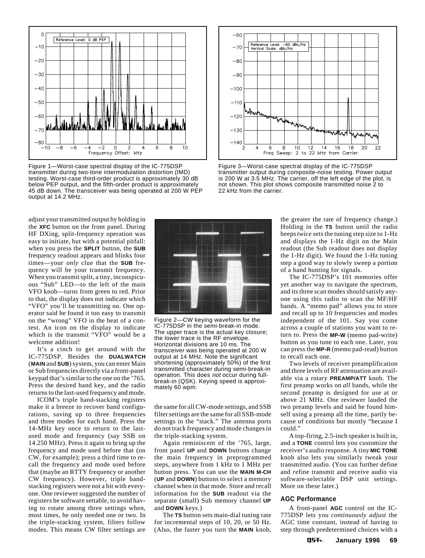

Figure 1—Worst-case spectral display of the IC-775DSP transmitter during two-tone intermodulation distortion (IMD) testing. Worst-case third-order product is approximately 30 dB below PEP output, and the fifth-order product is approximately 45 dB down. The transceiver was being operated at 200 W PEP output at 14.2 MHz.

 $-60$ Reference Level: -60 dBc/Hz<br>Vertical Scale: dBc/Hz  $-70$  $-80$  $-90$  $-100$  $-110$ Mwri  $-120$ mmm  $-130$  $-140$  $12$ 20 22 6 8 10 14 16 18 Freq Sweep: 2 to 22 kHz from Carrier

Figure 3—Worst-case spectral display of the IC-775DSP transmitter output during composite-noise testing. Power output is 200 W at 3.5 MHz. The carrier, off the left edge of the plot, is not shown. This plot shows composite transmitted noise 2 to 22 kHz from the carrier.

adjust your transmitted output by holding in the **XFC** button on the front panel. During HF DXing, split-frequency operation was easy to initiate, but with a potential pitfall: when you press the **SPLIT** button, the **SUB** frequency readout appears and blinks four times—your *only* clue that the **SUB** frequency will be your transmit frequency. When you transmit split, a tiny, inconspicuous "Sub" LED—to the left of the main VFO knob—turns from green to red. Prior to that, the display does not indicate which "VFO" you'll be transmitting on. One operator said he found it too easy to transmit on the "wrong" VFO in the heat of a contest. An icon on the display to indicate which is the transmit "VFO" would be a welcome addition!

It's a cinch to get around with the IC-775DSP. Besides the **DUALWATCH** (**MAIN** and **SUB**) system, you can enter Main or Sub frequencies directly via a front-panel keypad that's similar to the one on the '765. Press the desired band key, and the radio returns to the last-used frequency and mode.

ICOM's triple band-stacking registers make it a breeze to recover band configurations, saving up to three frequencies and three modes for each band. Press the 14-MHz key once to return to the lastused mode and frequency (say SSB on 14.250 MHz). Press it again to bring up the frequency and mode used before that (on CW, for example); press a third time to recall the frequency and mode used before that (maybe an RTTY frequency or another CW frequency). However, triple bandstacking registers were not a hit with everyone. One reviewer suggested the number of registers be software settable, to avoid having to rotate among three settings when, most times, he only needed one or two. In the triple-stacking system, filters follow modes. This means CW filter settings are



Figure 2—CW keying waveform for the IC-775DSP in the semi-break-in mode. The upper trace is the actual key closure; the lower trace is the RF envelope. Horizontal divisions are 10 ms. The transceiver was being operated at 200 W output at 14 MHz. Note the significant shortening (approximately 50%) of the first transmitted character during semi-break-in operation. This does not occur during fullbreak-in (QSK). Keying speed is approximately 60 wpm.

the same for all CW-mode settings, and SSB filter settings are the same for all SSB-mode settings in the "stack." The antenna ports do not track frequency and mode changes in the triple-stacking system.

Again reminiscent of the '765, large, front panel **UP** and **DOWN** buttons change the main frequency in preprogrammed steps, anywhere from 1 kHz to 1 MHz per button press. You can use the **MAIN M-CH** (**UP** and **DOWN**) buttons to select a memory channel when in that mode. Store and recall information for the **SUB** readout via the separate (small) Sub memory channel **UP** and **DOWN** keys.)

The **TS** button sets main-dial tuning rate for incremental steps of 10, 20, or 50 Hz. (Also, the faster you turn the **MAIN** knob, the greater the rate of frequency change.) Holding in the **TS** button until the radio beeps *twice* sets the tuning step size to 1-Hz and displays the 1-Hz digit on the Main readout (the Sub readout does not display the 1-Hz digit). We found the 1-Hz tuning step a good way to slowly sweep a portion of a band hunting for signals.

The IC-775DSP's 101 memories offer yet another way to navigate the spectrum, and its three scan modes should satisfy anyone using this radio to scan the MF/HF bands. A "memo pad" allows you to store and recall up to 10 frequencies and modes independent of the 101. Say you come across a couple of stations you want to return to. Press the **MP-W** (memo pad-write) button as you tune to each one. Later, you can press the **MP-R** (memo pad-read) button to recall each one.

Two levels of receiver preamplification and three levels of RF attenuation are available via a rotary **PREAMP/ATT** knob. The first preamp works on *all* bands, while the second preamp is designed for use at or above 21 MHz. One reviewer lauded the two preamp levels and said he found himself using a preamp all the time, partly because of conditions but mostly "because I could."

A top-firing, 2.5-inch speaker is built in, and a **TONE** control lets you customize the receiver's audio response. A tiny **MIC TONE** knob also lets you similarly tweak your transmitted audio. (You can further define and *re*fine transmit and receive audio via software-selectable DSP unit settings. More on these later.)

#### **AGC Performance**

A front-panel **AGC** control on the IC-775DSP lets you *continuously adjust* the AGC time constant, instead of having to step through predetermined choices with a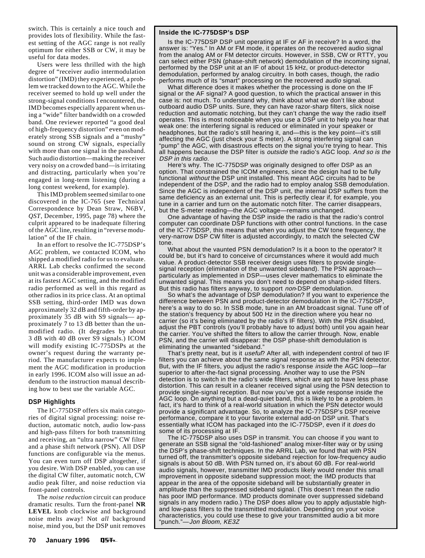switch. This is certainly a nice touch and provides lots of flexibility. While the fastest setting of the AGC range is not really optimum for either SSB or CW, it may be useful for data modes.

Users were less thrilled with the high degree of "receiver audio intermodulation distortion" (IMD) they experienced, a problem we tracked down to the AGC. While the receiver seemed to hold up well under the strong-signal conditions I encountered, the IMD becomes especially apparent when using a "wide" filter bandwidth on a crowded band. One reviewer reported "a good deal of high-frequency distortion" even on moderately strong SSB signals and a "mushy" sound on strong CW signals, especially with more than one signal in the passband. Such audio distortion—making the receiver very noisy on a crowded band—is irritating and distracting, particularly when you're engaged in long-term listening (during a long contest weekend, for example).

This IMD problem seemed similar to one discovered in the IC-765 (see Technical Correspondence by Dean Straw, N6BV, *QST*, December, 1995, page 78) where the culprit appeared to be inadequate filtering of the AGC line, resulting in "reverse modulation" of the IF chain.

In an effort to resolve the IC-775DSP's AGC problem, we contacted ICOM, who shipped a modified radio for us to evaluate. ARRL Lab checks confirmed the second unit was a considerable improvement, even at its fastest AGC setting, and the modified radio performed as well in this regard as other radios in its price class. At an optimal SSB setting, third-order IMD was down approximately 32 dB and fifth-order by approximately 35 dB with S9 signals— approximately 7 to 13 dB better than the unmodified radio. (It degrades by about 3 dB with 40 dB over S9 signals.) ICOM will modify existing IC-775DSPs at the owner's request during the warranty period. The manufacturer expects to implement the AGC modification in production in early 1996. ICOM also will issue an addendum to the instruction manual describing how to best use the variable AGC.

#### **DSP Highlights**

The IC-775DSP offers six main categories of digital signal processing: noise reduction, automatic notch, audio low-pass and high-pass filters for both transmitting and receiving, an "ultra narrow" CW filter and a phase shift network (PSN). All DSP functions are configurable via the menus. You can even turn off DSP altogether, if you desire. With DSP enabled, you can use the digital CW filter, automatic notch, CW audio peak filter, and noise reduction via front-panel controls.

The *noise reduction* circuit can produce dramatic results. Turn the front-panel **NR LEVEL** knob clockwise and background noise melts away! Not *all* background noise, mind you, but the DSP unit removes

#### **Inside the IC-775DSP's DSP**

Is the IC-775DSP DSP unit operating at IF or AF in receive? In a word, the answer is: "Yes." In AM or FM mode, it operates on the recovered audio signal from the analog AM or FM detector circuits. However, in SSB, CW or RTTY, you can select either PSN (phase-shift network) demodulation of the incoming signal, performed by the DSP unit at an IF of about 15 kHz, or product-detector demodulation, performed by analog circuitry. In both cases, though, the radio performs much of its "smart" processing on the recovered audio signal.

What difference does it makes whether the processing is done on the IF signal or the AF signal? A good question, to which the practical answer in this case is: not much. To understand why, think about what we don't like about outboard audio DSP units. Sure, they can have razor-sharp filters, slick noise reduction and automatic notching, but they can't change the way the radio itself operates. This is most noticeable when you use a DSP unit to help you hear that weak one: the interfering signal is reduced or eliminated in your speaker or headphones, but the radio's still hearing it, and—this is the key point—it's still affecting the AGC (just check your S meter). A strong interfering signal can "pump" the AGC, with disastrous effects on the signal you're trying to hear. This all happens because the DSP filter is outside the radio's AGC loop. And so is the DSP in this radio.

Here's why. The IC-775DSP was originally designed to offer DSP as an option. That constrained the ICOM engineers, since the design had to be fully functional without the DSP unit installed. This meant AGC circuits had to be independent of the DSP, and the radio had to employ analog SSB demodulation. Since the AGC is independent of the DSP unit, the internal DSP suffers from the same deficiency as an external unit. This is perfectly clear if, for example, you tune in a carrier and turn on the automatic notch filter. The carrier disappears, but the S-meter reading—the AGC voltage—remains unchanged.

One advantage of having the DSP inside the radio is that the radio's control computer can coordinate DSP functions with other control functions. In the case of the IC-775DSP, this means that when you adjust the CW tone frequency, the very-narrow DSP CW filter is adjusted accordingly, to match the selected CW tone.

What about the vaunted PSN demodulation? Is it a boon to the operator? It could be, but it's hard to conceive of circumstances where it would add much value. A product-detector SSB receiver design uses filters to provide singlesignal reception (elimination of the unwanted sideband). The PSN approach particularly as implemented in DSP—uses clever mathematics to eliminate the unwanted signal. This means you don't need to depend on sharp-sided filters. But this radio has filters anyway, to support non-DSP demodulation.

So what's the advantage of DSP demodulation? If you want to experience the difference between PSN and product-detector demodulation in the IC-775DSP, here's a way to do so. In SSB mode, tune in an AM broadcast signal. Tune off of the station's frequency by about 500 Hz in the direction where you hear no carrier (so it's being eliminated by the radio's IF filters). With the PSN disabled, adjust the PBT controls (you'll probably have to adjust both) until you again hear the carrier. You've shifted the filters to allow the carrier through. Now, enable PSN, and the carrier will disappear: the DSP phase-shift demodulation is eliminating the unwanted "sideband."

That's pretty neat, but is it *useful*? After all, with independent control of two IF filters you can achieve about the same signal response as with the PSN detector. But, with the IF filters, you adjust the radio's response inside the AGC loop—far superior to after-the-fact signal processing. Another way to use the PSN detection is to switch in the radio's wide filters, which are apt to have less phase distortion. This can result in a cleaner received signal using the PSN detection to provide single-signal reception. But now you've got a wide response inside the AGC loop. On anything but a dead-quiet band, this is likely to be a problem. In fact, it's hard to think of a real-world situation in which the PSN detector would provide a significant advantage. So, to analyze the IC-775DSP's DSP receive performance, compare it to your favorite external add-on DSP unit. That's essentially what ICOM has packaged into the IC-775DSP, even if it does do some of its processing at IF.

The IC-775DSP also uses DSP in transmit. You can choose if you want to generate an SSB signal the "old-fashioned" analog mixer-filter way or by using the DSP's phase-shift techniques. In the ARRL Lab, we found that with PSN turned off, the transmitter's opposite sideband rejection for low-frequency audio signals is about 50 dB. With PSN turned on, it's about 60 dB. For real-world audio signals, however, transmitter IMD products likely would render this small improvement in opposite sideband suppression moot; the IMD products that appear in the area of the opposite sideband will be substantially greater in amplitude than the suppressed sideband signal. (This doesn't mean the radio has poor IMD performance. IMD products dominate over suppressed sideband signals in any modern radio.) The DSP does allow you to apply adjustable highand low-pass filters to the transmitted modulation. Depending on your voice characteristics, you could use these to give your transmitted audio a bit more "punch."—Jon Bloom, KE3Z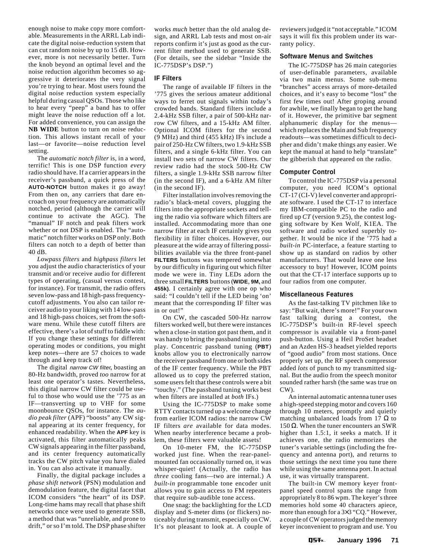enough noise to make copy more comfortable. Measurements in the ARRL Lab indicate the digital noise-reduction system that can cut random noise by up to 15 dB. However, more is not necessarily better. Turn the knob beyond an optimal level and the noise reduction algorithm becomes so aggressive it deteriorates the very signal you're trying to hear. Most users found the digital noise reduction system especially helpful during casual QSOs. Those who like to hear every "peep" a band has to offer might leave the noise reduction off a lot. For added convenience, you can assign the **NB WIDE** button to turn on noise reduction. This allows instant recall of your last—or favorite—noise reduction level setting.

The *automatic notch filter* is, in a word, terrific! This is one DSP function *every* radio should have. If a carrier appears in the receiver's passband, a quick press of the **AUTO-NOTCH** button makes it go away! From then on, any carriers that dare encroach on your frequency are automatically notched, period (although the carrier will continue to activate the AGC). The "manual" IF notch and peak filters work whether or not DSP is enabled. The "automatic" notch filter works on DSP only. Both filters can notch to a depth of better than 40 dB.

*Lowpass filters* and *highpass filters* let you adjust the audio characteristics of your transmit and/or receive audio for different types of operating, (casual versus contest, for instance). For transmit, the radio offers seven low-pass and 18 high-pass frequencycutoff adjustments. You also can tailor receiver audio to your liking with 14 low-pass and 18 high-pass choices, set from the software menu. While these cutoff filters are effective, there's a lot of stuff to fiddle with: If you change these settings for different operating modes or conditions, you might keep notes—there are 57 choices to wade through and keep track of!

The digital narrow CW filter**,** boasting an 80-Hz bandwidth, proved *too* narrow for at least one operator's tastes. Nevertheless, this digital narrow CW filter could be useful to those who would use the '775 as an IF—transverting up to VHF for some moonbounce QSOs, for instance. The *audio peak filter* (APF) "boosts" any CW signal appearing at its center frequency, for enhanced readability. When the **APF** key is activated, this filter automatically peaks CW signals appearing in the filter passband, and its center frequency automatically tracks the CW pitch value you have dialed in. You can also activate it manually.

Finally, the digital package includes a *phase shift network* (PSN) modulation and demodulation feature, the digital facet that ICOM considers "the heart" of its DSP. Long-time hams may recall that phase shift networks once were used to generate SSB, a method that was "unreliable, and prone to drift," or so I'm told. The DSP phase shifter works *much* better than the old analog design, and ARRL Lab tests and most on-air reports confirm it's just as good as the current filter method used to generate SSB. (For details, see the sidebar "Inside the IC-775DSP's DSP.")

#### **IF Filters**

The range of available IF filters in the '775 gives the serious amateur additional ways to ferret out signals within today's crowded bands. Standard filters include a 2.4-kHz SSB filter, a pair of 500-kHz narrow CW filters, and a 15-kHz AM filter. Optional ICOM filters for the second (9 MHz) and third (455 kHz) IFs include a pair of 250-Hz CW filters, two 1.9-kHz SSB filters, and a single 6-kHz filter. You can install two sets of narrow CW filters. Our review radio had the stock 500-Hz CW filters, a single 1.9-kHz SSB narrow filter (in the second IF), and a 6-kHz AM filter (in the second IF).

Filter installation involves removing the radio's black-metal covers, plugging the filters into the appropriate sockets and telling the radio via software which filters are installed. Accommodating more than one narrow filter at each IF certainly gives you flexibility in filter choices. However, our pleasure at the wide array of filtering possibilities available via the three front-panel **FILTERS** buttons was tempered somewhat by our difficulty in figuring out which filter mode we were in. Tiny LEDs adorn the three small **FILTERS** buttons (**WIDE**, **9M,** and **455k)**. I certainly agree with one op who said: "I couldn't tell if the LED being 'on' meant that the corresponding IF filter was in or out!"

On CW, the cascaded 500-Hz narrow filters worked well, but there were instances when a close-in station got past them, and it was handy to bring the passband tuning into play. Concentric passband tuning (**PBT**) knobs allow you to electronically narrow the receiver passband from one or both sides of the IF center frequency. While the PBT allowed us to copy the preferred station, some users felt that these controls were a bit "touchy." (The passband tuning works best when filters are installed at *both* IFs.)

Using the IC-775DSP to make some RTTY contacts turned up a welcome change from earlier ICOM radios: the narrow CW IF filters *are* available for data modes. When nearby interference became a problem, these filters were valuable assets!

On 10-meter FM, the IC-775DSP worked just fine. When the rear-panelmounted fan occasionally turned on, it was whisper-quiet! (Actually, the radio has *three* cooling fans—two are internal.) A *built-in* programmable tone encoder unit allows you to gain access to FM repeaters that require sub-audible tone access.

One snag: the backlighting for the LCD display and S-meter dims (or flickers) noticeably during transmit, especially on CW. It's not pleasant to look at. A couple of

reviewers judged it "not acceptable." ICOM says it will fix this problem under its warranty policy.

#### **Software Menus and Switches**

The IC-775DSP has 26 main categories of user-definable parameters, available via two main menus. Some sub-menu "branches" access arrays of more-detailed choices, and it's easy to become "lost" the first few times out! After groping around for awhile, we finally began to get the hang of it. However, the primitive bar segment alphanumeric display for the menus which replaces the Main and Sub frequency readouts—was sometimes difficult to decipher and didn't make things any easier. We kept the manual at hand to help "translate" the gibberish that appeared on the radio.

#### **Computer Control**

To control the IC-775DSP via a personal computer, you need ICOM's optional CT-17 (CI-V) level converter and appropriate software. I used the CT-17 to interface my IBM-compatible PC to the radio and fired up *CT* (version 9.25), the contest logging software by Ken Wolf, K1EA. The software and radio worked superbly together. It would be nice if the '775 had a *built-in* PC-interface, a feature starting to show up as standard on radios by other manufacturers. That would leave one less accessory to buy! However, ICOM points out that the CT-17 interface supports up to four radios from one computer.

#### **Miscellaneous Features**

As the fast-talking TV pitchmen like to say: "But wait, there's more!" For your own fast talking during a contest, the IC-775DSP's built-in RF-level speech compressor is available via a front-panel push-button. Using a Heil ProSet headset and an Azden HS-3 headset yielded reports of "good audio" from most stations. Once properly set up, the RF speech compressor added *lots* of punch to my transmitted signal. But the audio from the speech monitor sounded rather harsh (the same was true on CW).

An internal automatic antenna tuner uses a high-speed stepping motor and covers 160 through 10 meters, promptly and quietly matching unbalanced loads from 17  $\Omega$  to 150  $Ω$ . When the tuner encounters an SWR higher than 1.5:1, it seeks a match. If it achieves one, the radio memorizes the tuner's variable settings (including the frequency and antenna port), and returns to those settings the next time you tune there while using the same antenna port. In actual use, it was virtually transparent.

The built-in CW memory keyer frontpanel speed control spans the range from appropriately 8 to 86 wpm. The keyer's three memories hold some 40 characters apiece, more than enough for a 3×3 "CQ." However, a couple of CW operators judged the memory keyer inconvenient to program and use. You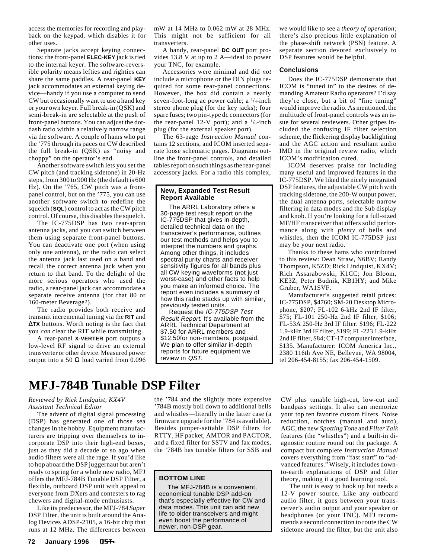<span id="page-6-0"></span>access the memories for recording and playback on the keypad, which disables it for other uses.

Separate jacks accept keying connections: the front-panel **ELEC-KEY** jack is tied to the internal keyer. The software-reversible polarity means lefties and righties can share the same paddles. A rear-panel **KEY** jack accommodates an external keying device—handy if you use a computer to send CW but occasionally want to use a hand key or your own keyer. Full break-in (QSK) and semi-break-in are selectable at the push of front-panel buttons. You can adjust the dotdash ratio within a relatively narrow range via the software. A couple of hams who put the '775 through its paces on CW described the full break-in (QSK) as "noisy and choppy" on the operator's end.

Another software switch lets you set the CW pitch (and tracking sidetone) in 20-Hz steps, from 300 to 900 Hz (the default is 600 Hz). On the '765, CW pitch was a frontpanel control, but on the '775, you can use another software switch to redefine the squelch (**SQL**) control to act as the CW pitch control. Of course, this disables the squelch.

The IC-775DSP has two rear-apron antenna jacks, and you can switch between them using separate front-panel buttons. You can deactivate one port (when using only one antenna), or the radio can select the antenna jack last used on a band and recall the correct antenna jack when you return to that band. To the delight of the more serious operators who used the radio, a rear-panel jack can accommodate a separate receive antenna (for that 80 or 160-meter Beverage?).

The radio provides both receive and transmit incremental tuning via the **RIT** and ∆**TX** buttons. Worth noting is the fact that you *can* clear the RIT while transmitting.

A rear-panel **X-VERTER** port outputs a low-level RF signal to drive an external transverter or other device. Measured power output into a 50 Ω load varied from 0.096 mW at 14 MHz to 0.062 mW at 28 MHz. This might not be sufficient for all transverters.

A handy, rear-panel **DC OUT** port provides 13.8 V at up to 2 A—ideal to power your TNC, for example.

Accessories were minimal and did *not* include a microphone or the DIN plugs required for some rear-panel connections. However, the box did contain a nearly seven-foot-long ac power cable; a <sup>1</sup>/4-inch stereo phone plug (for the key jacks); four spare fuses; two pin-type dc connectors (for the rear-panel 12-V port); and a  $\frac{1}{s}$ -inch plug (for the external speaker port).

The 63-page *Instruction Manual* contains 12 sections, and ICOM inserted separate loose schematic pages. Diagrams outline the front-panel controls, and detailed tables report on such things as the rear-panel accessory jacks. For a radio this complex,

#### **New, Expanded Test Result Report Available**

The ARRL Laboratory offers a 30-page test result report on the IC-775DSP that gives in-depth, detailed technical data on the transceiver's performance, outlines our test methods and helps you to interpret the numbers and graphs. Among other things, it includes spectral purity charts and receiver sensitivity figures for all bands plus all CW keying waveforms (not just worst-case) and other facts to help you make an informed choice. The report even includes a summary of how this radio stacks up with similar, previously tested units.

Request the IC-775DSP Test Result Report. It's available from the ARRL Technical Department at \$7.50 for ARRL members and \$12.50for non-members, postpaid. We plan to offer similar in-depth reports for future equipment we review in QST.

we would like to see a *theory of operation*; there's also precious little explanation of the phase-shift network (PSN) feature. A separate section devoted exclusively to DSP features would be helpful.

#### **Conclusions**

Does the IC-775DSP demonstrate that ICOM is "tuned in" to the desires of demanding Amateur Radio operators? I'd say they're close, but a bit of "fine tuning" would improve the radio. As mentioned, the multitude of front-panel controls was an issue for several reviewers. Other gripes included the confusing IF filter selection scheme, the flickering display backlighting and the AGC action and resultant audio IMD in the original review radio, which ICOM's modification cured.

ICOM deserves praise for including many useful and improved features in the IC-775DSP. We liked the nicely integrated DSP features, the adjustable CW pitch with tracking sidetone, the 200-W output power, the dual antenna ports, selectable narrow filtering in data modes and the Sub display and knob. If you're looking for a full-sized MF/HF transceiver that offers solid performance along with *plenty* of bells and whistles, then the ICOM IC-775DSP just may be your next radio.

Thanks to these hams who contributed to this review: Dean Straw, N6BV; Randy Thompson, K5ZD; Rick Lindquist, KX4V; Rich Assarabowski, K1CC; Jon Bloom, KE3Z; Peter Budnik, KB1HY; and Mike Gruber, WA1SVF.

Manufacturer's suggested retail prices: IC-775DSP, \$4760; SM-20 Desktop Microphone, \$207; FL-102 6-kHz 2nd IF filter, \$75; FL-101 250-Hz 2nd IF filter, \$106; FL-53A 250-Hz 3rd IF filter. \$196; FL**-**222 1.9-kHz 3rd IF filter, \$199; FL-223 1.9-kHz 2nd IF filter, \$84; CT-17 computer interface, \$135. Manufacturer: ICOM America Inc., 2380 116th Ave NE, Bellevue, WA 98004, tel 206-454-8155; fax 206-454-1509.

### **MFJ-784B Tunable DSP Filter**

#### *Reviewed by Rick Lindquist, KX4V Assistant Technical Editor*

The advent of digital signal processing (DSP) has generated one of those sea changes in the hobby. Equipment manufacturers are tripping over themselves to incorporate DSP into their high-end boxes, just as they did a decade or so ago when audio filters were all the rage. If you'd like to hop aboard the DSP juggernaut but aren't ready to spring for a whole new radio, MFJ offers the MFJ-784B Tunable DSP Filter, a flexible, outboard DSP unit with appeal to everyone from DXers and contesters to rag chewers and digital-mode enthusiasts.

Like its predecessor, the MFJ-784 *Super* DSP Filter, the unit is built around the Analog Devices ADSP-2105, a 16-bit chip that runs at 12 MHz. The differences between

the '784 and the slightly more expensive '784B mostly boil down to additional bells and whistles—literally in the latter case (a firmware upgrade for the '784 is available). Besides jumper-settable DSP filters for RTTY, HF packet, AMTOR and PACTOR, and a fixed filter for SSTV and fax modes, the '784B has tunable filters for SSB and

#### **BOTTOM LINE**

The MFJ-784B is a convenient, economical tunable DSP add-on that's especially effective for CW and data modes. This unit can add new life to older transceivers and might even boost the performance of newer, non-DSP gear.

CW plus tunable high-cut, low-cut and bandpass settings. It also can memorize your top ten favorite custom filters. Noise reduction, notches (manual and auto), AGC, the new *Spotting Tone* and *Filter Talk* features (the "whistles") and a built-in diagnostic routine round out the package. A compact but complete *Instruction Manual* covers everything from "fast start" to "advanced features." Wisely, it includes downto-earth explanations of DSP and filter theory, making it a good learning tool.

The unit is easy to hook up but needs a 12-V power source. Like any outboard audio filter, it goes between your transceiver's audio output and your speaker or headphones (or your TNC). MFJ recommends a second connection to route the CW sidetone around the filter, but the unit also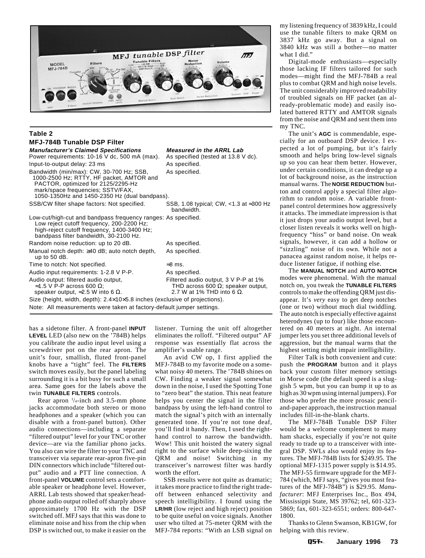

#### **Table 2**

| <b>MFJ-784B Tunable DSP Filter</b>                                                                                                                                                                               |                                                                                                                        |  |  |  |
|------------------------------------------------------------------------------------------------------------------------------------------------------------------------------------------------------------------|------------------------------------------------------------------------------------------------------------------------|--|--|--|
| <b>Manufacturer's Claimed Specifications</b>                                                                                                                                                                     | <b>Measured in the ARRL Lab</b>                                                                                        |  |  |  |
| Power requirements: 10-16 V dc, 500 mA (max).                                                                                                                                                                    | As specified (tested at 13.8 V dc).                                                                                    |  |  |  |
| Input-to-output delay: 23 ms                                                                                                                                                                                     | As specified.                                                                                                          |  |  |  |
| Bandwidth (min/max): CW, 30-700 Hz; SSB,<br>1000-2500 Hz; RTTY, HF packet, AMTOR and<br>PACTOR, optimized for 2125/2295-Hz<br>mark/space frequencies; SSTV/FAX,<br>1050-1350Hz and 1450-2350 Hz (dual bandpass). | As specified.                                                                                                          |  |  |  |
| SSB/CW filter shape factors: Not specified.                                                                                                                                                                      | SSB, 1.08 typical; CW, $<$ 1.3 at $\approx$ 300 Hz<br>bandwidth.                                                       |  |  |  |
| Low-cut/high-cut and bandpass frequency ranges: As specified.<br>Low reject cutoff frequency, 200-2200 Hz;<br>high-reject cutoff frequency, 1400-3400 Hz;<br>bandpass filter bandwidth, 30-2100 Hz.              |                                                                                                                        |  |  |  |
| Random noise reduction: up to 20 dB.                                                                                                                                                                             | As specified.                                                                                                          |  |  |  |
| Manual notch depth: $\geq$ 40 dB; auto notch depth,<br>up to $50$ dB.                                                                                                                                            | As specified.                                                                                                          |  |  |  |
| Time to notch: Not specified.                                                                                                                                                                                    | $\approx 8$ ms.                                                                                                        |  |  |  |
| Audio input requirements: 1-2.8 V P-P.                                                                                                                                                                           | As specified.                                                                                                          |  |  |  |
| Audio output: filtered audio output,<br>≈1.5 V P-P across 600 Ω;<br>speaker output, $\approx$ 2.5 W into 6 $\Omega$ .                                                                                            | Filtered audio output, 3 V P-P at 1%<br>THD across 600 $\Omega$ ; speaker output,<br>2.7 W at 1% THD into 6 $\Omega$ . |  |  |  |
| Size (height, width, depth): $2.4 \times 10 \times 5.8$ inches (exclusive of projections).                                                                                                                       |                                                                                                                        |  |  |  |
| Note: All measurements were taken at factory-default jumper settings.                                                                                                                                            |                                                                                                                        |  |  |  |

has a sidetone filter. A front-panel **INPUT LEVEL** LED (also new on the '784B) helps you calibrate the audio input level using a screwdriver pot on the rear apron. The unit's four, smallish, fluted front-panel knobs have a "tight" feel. The **FILTERS** switch moves easily, but the panel labeling surrounding it is a bit busy for such a small area. Same goes for the labels above the twin **TUNABLE FILTERS** controls.

Rear apron  $\frac{1}{4}$ -inch and 3.5-mm phone jacks accommodate both stereo or mono headphones and a speaker (which you can disable with a front-panel button). Other audio connections—including a separate "filtered output" level for your TNC or other device—are via the familiar phono jacks. You also can wire the filter to your TNC and transceiver via separate rear-apron five-pin DIN connectors which include "filtered output" audio and a PTT line connection. A front-panel **VOLUME** control sets a comfortable speaker or headphone level. However, ARRL Lab tests showed that speaker/headphone audio output rolled off sharply above approximately 1700 Hz with the DSP switched off. MFJ says that this was done to eliminate noise and hiss from the chip when DSP is switched out, to make it easier on the listener. Turning the unit off altogether eliminates the rolloff. "Filtered output" AF response was essentially flat across the amplifier's usable range.

An avid CW op, I first applied the MFJ-784B to my favorite mode on a somewhat noisy 40 meters. The '784B shines on CW. Finding a weaker signal somewhat down in the noise, I used the Spotting Tone to "zero beat" the station. This neat feature helps you center the signal in the filter bandpass by using the left-hand control to match the signal's pitch with an internally generated tone. If you're not tone deaf, you'll find it handy. Then, I used the righthand control to narrow the bandwidth. Wow! This unit hoisted the watery signal right to the surface while deep-sixing the QRM and noise! Switching in my transceiver's narrowest filter was hardly worth the effort.

SSB results were not quite as dramatic; it takes more practice to find the right tradeoff between enhanced selectivity and speech intelligibility. I found using the **LR/HR** (low reject and high reject) position to be quite useful on voice signals. Another user who tilted at 75-meter QRM with the MFJ-784 reports: "With an LSB signal on my listening frequency of 3839 kHz, I could use the tunable filters to make QRM on 3837 kHz go away. But a signal on 3840 kHz was still a bother—no matter what I did."

Digital-mode enthusiasts—especially those lacking IF filters tailored for such modes—might find the MFJ-784B a real plus to combat QRM and high noise levels. The unit considerably improved readability of troubled signals on HF packet (an already-problematic mode) and easily isolated battered RTTY and AMTOR signals from the noise and QRM and sent them into my TNC.

The unit's **AGC** is commendable, especially for an outboard DSP device. I expected a lot of pumping, but it's fairly smooth and helps bring low-level signals up so you can hear them better. However, under certain conditions, it can dredge up a lot of background noise, as the instruction manual warns. The **NOISE REDUCTION** button and control apply a special filter algorithm to random noise. A variable frontpanel control determines how aggressively it attacks. The immediate impression is that it just drops your audio output level, but a closer listen reveals it works well on highfrequency "hiss" or band noise. On weak signals, however, it can add a hollow or "sizzling" noise of its own. While not a panacea against random noise, it helps reduce listener fatigue, if nothing else.

The **MANUAL NOTCH** and **AUTO NOTCH** modes were phenomenal. With the manual notch on, you tweak the **TUNABLE FILTERS** controls to make the offending QRM just disappear. It's *very* easy to get deep notches (one or two) without much dial twiddling. The auto notch is especially effective against heterodynes (up to four) like those encountered on 40 meters at night. An internal jumper lets you set three additional levels of aggression, but the manual warns that the highest setting might impair intelligibility.

Filter Talk is both convenient and cute: push the **PROGRAM** button and it plays back your custom filter memory settings in Morse code (the default speed is a sluggish 5 wpm, but you can bump it up to as high as 30 wpm using internal jumpers). For those who prefer the more prosaic penciland-paper approach, the instruction manual includes fill-in-the-blank charts.

The MFJ-784B Tunable DSP Filter would be a welcome complement to many ham shacks, especially if you're not quite ready to trade up to a transceiver with integral DSP. SWLs also would enjoy its features. The MFJ-784B lists for \$249.95. The optional MFJ-1315 power supply is \$14.95. The MFJ-55 firmware upgrade for the MFJ-784 (which, MFJ says, "gives you most features of the MFJ-784B") is \$29.95. *Manufacturer*: MFJ Enterprises Inc., Box 494, Mississippi State, MS 39762; tel, 601-323- 5869; fax, 601-323-6551; orders: 800-647- 1800.

Thanks to Glenn Swanson, KB1GW, for helping with this review.